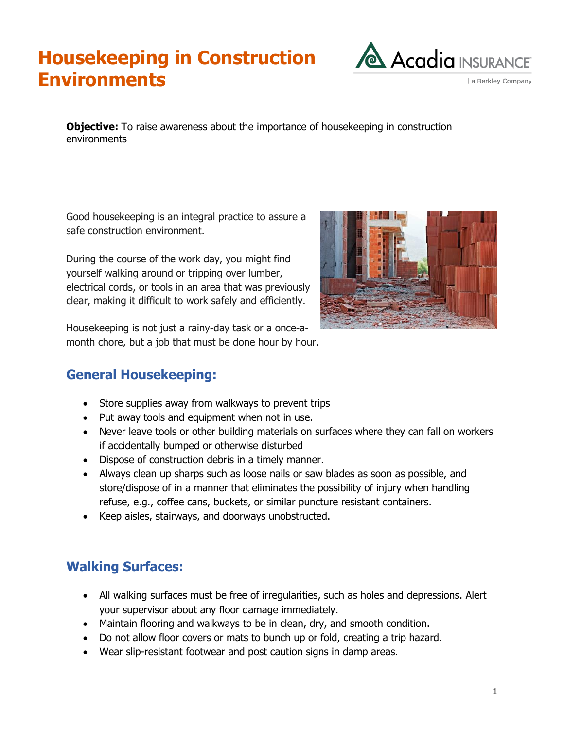# **Housekeeping in Construction Environments**



a Berkley Company

**Objective:** To raise awareness about the importance of housekeeping in construction environments

Good housekeeping is an integral practice to assure a safe construction environment.

During the course of the work day, you might find yourself walking around or tripping over lumber, electrical cords, or tools in an area that was previously clear, making it difficult to work safely and efficiently.

Housekeeping is not just a rainy-day task or a once-amonth chore, but a job that must be done hour by hour.



#### **General Housekeeping:**

- Store supplies away from walkways to prevent trips
- Put away tools and equipment when not in use.
- Never leave tools or other building materials on surfaces where they can fall on workers if accidentally bumped or otherwise disturbed
- Dispose of construction debris in a timely manner.
- Always clean up sharps such as loose nails or saw blades as soon as possible, and store/dispose of in a manner that eliminates the possibility of injury when handling refuse, e.g., coffee cans, buckets, or similar puncture resistant containers.
- Keep aisles, stairways, and doorways unobstructed.

#### **Walking Surfaces:**

- All walking surfaces must be free of irregularities, such as holes and depressions. Alert your supervisor about any floor damage immediately.
- Maintain flooring and walkways to be in clean, dry, and smooth condition.
- Do not allow floor covers or mats to bunch up or fold, creating a trip hazard.
- Wear slip-resistant footwear and post caution signs in damp areas.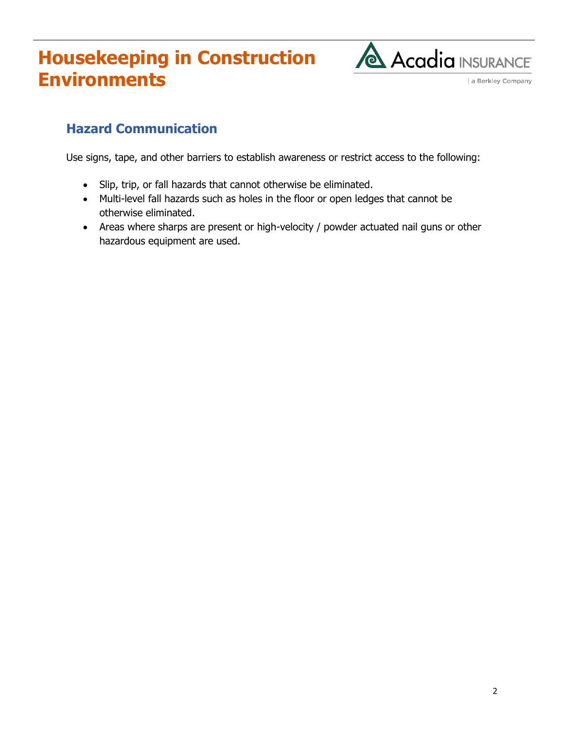# **Housekeeping in Construction Environments**



a Berkley Company

#### **Hazard Communication**

Use signs, tape, and other barriers to establish awareness or restrict access to the following:

- Slip, trip, or fall hazards that cannot otherwise be eliminated.
- Multi-level fall hazards such as holes in the floor or open ledges that cannot be otherwise eliminated.
- Areas where sharps are present or high-velocity / powder actuated nail guns or other hazardous equipment are used.